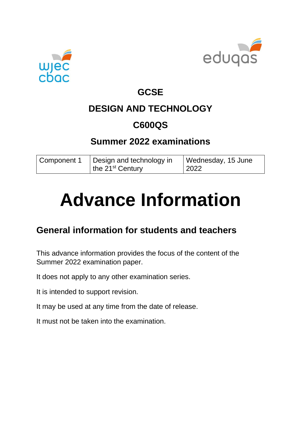



## **GCSE**

# **DESIGN AND TECHNOLOGY**

## **C600QS**

## **Summer 2022 examinations**

| Component 1 | Design and technology in | Wednesday, 15 June |
|-------------|--------------------------|--------------------|
|             | the $21^{st}$ Century    | 2022               |

# **Advance Information**

## **General information for students and teachers**

This advance information provides the focus of the content of the Summer 2022 examination paper.

It does not apply to any other examination series.

It is intended to support revision.

It may be used at any time from the date of release.

It must not be taken into the examination.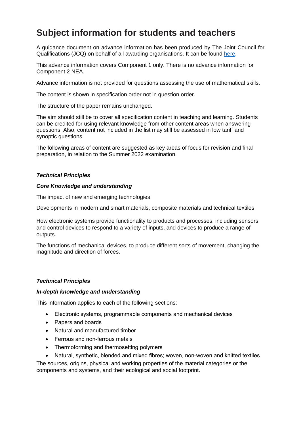## **Subject information for students and teachers**

A guidance document on advance information has been produced by The Joint Council for Qualifications (JCQ) on behalf of all awarding organisations. It can be found [here.](https://www.jcq.org.uk/wp-content/uploads/2021/10/Advance-Information-for-General-Qualifications-2021-22.pdf)

This advance information covers Component 1 only. There is no advance information for Component 2 NEA.

Advance information is not provided for questions assessing the use of mathematical skills.

The content is shown in specification order not in question order.

The structure of the paper remains unchanged.

The aim should still be to cover all specification content in teaching and learning. Students can be credited for using relevant knowledge from other content areas when answering questions. Also, content not included in the list may still be assessed in low tariff and synoptic questions.

The following areas of content are suggested as key areas of focus for revision and final preparation, in relation to the Summer 2022 examination.

#### *Technical Principles*

#### *Core Knowledge and understanding*

The impact of new and emerging technologies.

Developments in modern and smart materials, composite materials and technical textiles.

How electronic systems provide functionality to products and processes, including sensors and control devices to respond to a variety of inputs, and devices to produce a range of outputs.

The functions of mechanical devices, to produce different sorts of movement, changing the magnitude and direction of forces.

#### *Technical Principles*

#### *In-depth knowledge and understanding*

This information applies to each of the following sections:

- Electronic systems, programmable components and mechanical devices
- Papers and boards
- Natural and manufactured timber
- Ferrous and non-ferrous metals
- Thermoforming and thermosetting polymers

• Natural, synthetic, blended and mixed fibres; woven, non-woven and knitted textiles The sources, origins, physical and working properties of the material categories or the components and systems, and their ecological and social footprint.